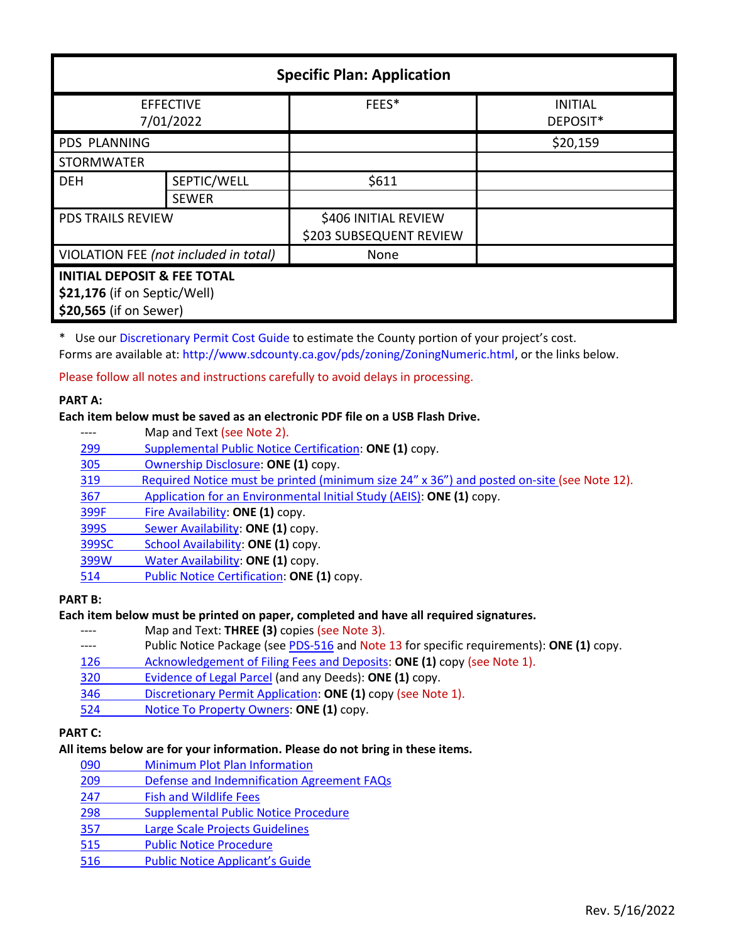| <b>Specific Plan: Application</b>      |              |                                                 |                            |  |
|----------------------------------------|--------------|-------------------------------------------------|----------------------------|--|
| <b>EFFECTIVE</b><br>7/01/2022          |              | FEES*                                           | <b>INITIAL</b><br>DEPOSIT* |  |
| <b>PDS PLANNING</b>                    |              |                                                 | \$20,159                   |  |
| <b>STORMWATER</b>                      |              |                                                 |                            |  |
| <b>DEH</b>                             | SEPTIC/WELL  | \$611                                           |                            |  |
|                                        | <b>SEWER</b> |                                                 |                            |  |
| <b>PDS TRAILS REVIEW</b>               |              | \$406 INITIAL REVIEW<br>\$203 SUBSEQUENT REVIEW |                            |  |
| VIOLATION FEE (not included in total)  |              | None                                            |                            |  |
| <b>INITIAL DEPOSIT &amp; FEE TOTAL</b> |              |                                                 |                            |  |
| \$21,176 (if on Septic/Well)           |              |                                                 |                            |  |
| \$20,565 (if on Sewer)                 |              |                                                 |                            |  |

\* Use our [Discretionary Permit Cost Guide](http://www.sandiegocounty.gov/content/dam/sdc/pds/docs/Discretionary_Permit_Cost_Guide.xlsx) to estimate the County portion of your project's cost. Forms are available at: [http://www.sdcounty.ca.gov/pds/zoning/ZoningNumeric.html,](http://www.sdcounty.ca.gov/pds/zoning/ZoningNumeric.html) or the links below.

Please follow all notes and instructions carefully to avoid delays in processing.

## **PART A:**

# **Each item below must be saved as an electronic PDF file on a USB Flash Drive.**

- ---- Map and Text (see Note 2).
- 299 [Supplemental Public Notice Certification:](http://www.sdcounty.ca.gov/pds/zoning/formfields/PDS-PLN-299.pdf) **ONE (1)** copy.
- [305 Ownership Disclosure:](http://www.sdcounty.ca.gov/pds/zoning/formfields/PDS-PLN-305.pdf) **ONE (1)** copy.
- [319 Required Notice must be printed \(minimum size 2](https://www.sandiegocounty.gov/content/dam/sdc/pds/zoning/formfields/PDS-PLN-319.pdf)4" x 36") and posted on-site (see Note 12).
- 367 [Application for an Environmental Initial Study \(AEIS\):](http://www.sdcounty.ca.gov/pds/zoning/formfields/PDS-PLN-367.pdf) **ONE (1)** copy.
- [399F Fire Availability:](http://www.sdcounty.ca.gov/pds/zoning/formfields/PDS-PLN-399F.pdf) **ONE (1)** copy.
- 399S [Sewer Availability:](http://www.sdcounty.ca.gov/pds/zoning/formfields/PDS-PLN-399S.pdf) **ONE (1)** copy.
- [399SC School Availability:](http://www.sdcounty.ca.gov/pds/zoning/formfields/PDS-PLN-399SC.pdf) **ONE (1)** copy.
- [399W Water Availability:](http://www.sdcounty.ca.gov/pds/zoning/formfields/PDS-PLN-399W.pdf) **ONE (1)** copy.
- [514 Public Notice Certification:](http://www.sdcounty.ca.gov/pds/zoning/formfields/PDS-PLN-514.pdf) **ONE (1)** copy.

## **PART B:**

## **Each item below must be printed on paper, completed and have all required signatures.**

- ---- Map and Text: **THREE (3)** copies (see Note 3).
- ---- Public Notice Package (se[e PDS-516](http://www.sdcounty.ca.gov/pds/zoning/formfields/PDS-PLN-516.pdf) and Note 13 for specific requirements): **ONE (1)** copy.
- [126 Acknowledgement of Filing Fees and Deposits:](http://www.sdcounty.ca.gov/pds/zoning/formfields/PDS-PLN-126.pdf) **ONE (1)** copy (see Note 1).
- [320 Evidence of Legal Parcel](http://www.sdcounty.ca.gov/pds/zoning/formfields/PDS-PLN-320.pdf) (and any Deeds): **ONE (1)** copy.
- 346 [Discretionary Permit Application:](http://www.sdcounty.ca.gov/pds/zoning/formfields/PDS-PLN-346.pdf) **ONE (1)** copy (see Note 1).
- 524 [Notice To Property](http://www.sdcounty.ca.gov/pds/zoning/formfields/PDS-PLN-524.pdf) Owners: **ONE (1)** copy.

# **PART C:**

## **All items below are for your information. Please do not bring in these items.**

- 090 [Minimum Plot Plan Information](http://www.sdcounty.ca.gov/pds/docs/pds090.pdf)
- 209 [Defense and Indemnification Agreement FAQs](http://www.sdcounty.ca.gov/pds/zoning/formfields/PDS-PLN-209.pdf)
- [247 Fish and Wildlife Fees](http://www.sdcounty.ca.gov/pds/zoning/formfields/PDS-PLN-247.pdf)
- [298 Supplemental Public Notice Procedure](http://www.sdcounty.ca.gov/pds/zoning/formfields/PDS-PLN-298.pdf)
- 357 [Large Scale Projects Guidelines](http://www.sdcounty.ca.gov/pds/zoning/formfields/PDS-PLN-357.pdf)
- [515 Public Notice Procedure](http://www.sdcounty.ca.gov/pds/zoning/formfields/PDS-PLN-515.pdf)
- 516 [Public Notice Applicant's Guide](http://www.sdcounty.ca.gov/pds/zoning/formfields/PDS-PLN-516.pdf)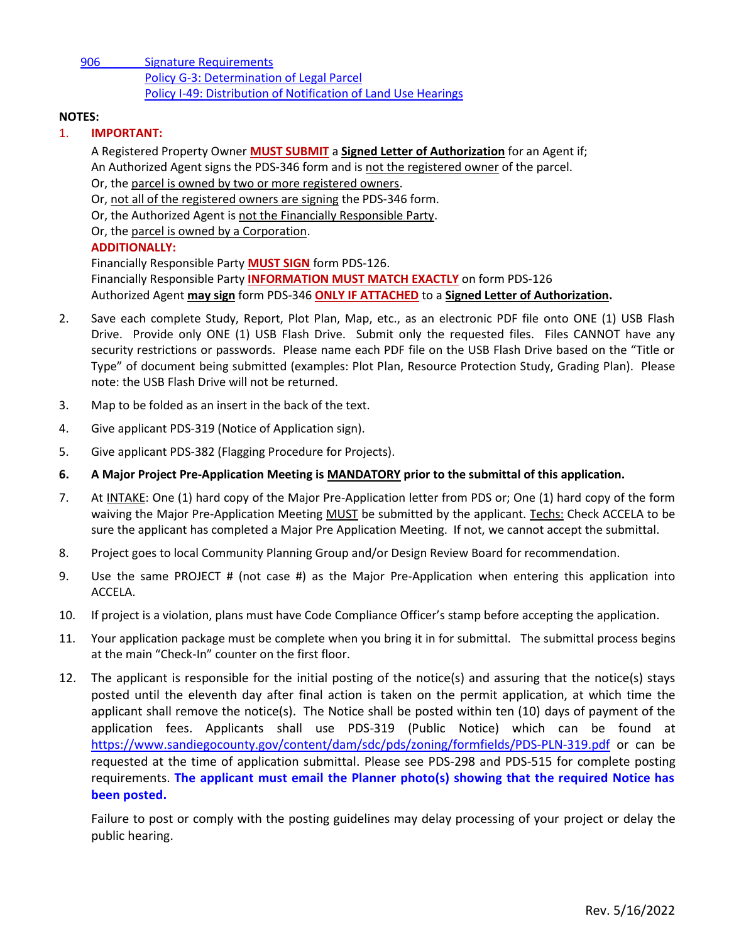[906 Signature Requirements](http://www.sdcounty.ca.gov/pds/zoning/formfields/PDS-PLN-906.pdf)  [Policy G-3: Determination of Legal Parcel](http://www.sdcounty.ca.gov/pds/zoning/formfields/POLICY-G-3.pdf)  [Policy I-49: Distribution of Notification of Land Use Hearings](http://www.sdcounty.ca.gov/cob/docs/policy/I-49.pdf)

## **NOTES:**

## 1. **IMPORTANT:**

A Registered Property Owner **MUST SUBMIT** a **Signed Letter of Authorization** for an Agent if; An Authorized Agent signs the PDS-346 form and is not the registered owner of the parcel. Or, the parcel is owned by two or more registered owners.

Or, not all of the registered owners are signing the PDS-346 form.

Or, the Authorized Agent is not the Financially Responsible Party.

Or, the parcel is owned by a Corporation.

# **ADDITIONALLY:**

Financially Responsible Party **MUST SIGN** form PDS-126. Financially Responsible Party **INFORMATION MUST MATCH EXACTLY** on form PDS-126 Authorized Agent **may sign** form PDS-346 **ONLY IF ATTACHED** to a **Signed Letter of Authorization.**

- 2. Save each complete Study, Report, Plot Plan, Map, etc., as an electronic PDF file onto ONE (1) USB Flash Drive. Provide only ONE (1) USB Flash Drive. Submit only the requested files. Files CANNOT have any security restrictions or passwords. Please name each PDF file on the USB Flash Drive based on the "Title or Type" of document being submitted (examples: Plot Plan, Resource Protection Study, Grading Plan). Please note: the USB Flash Drive will not be returned.
- 3. Map to be folded as an insert in the back of the text.
- 4. Give applicant PDS-319 (Notice of Application sign).
- 5. Give applicant PDS-382 (Flagging Procedure for Projects).
- **6. A Major Project Pre-Application Meeting is MANDATORY prior to the submittal of this application.**
- 7. At INTAKE: One (1) hard copy of the Major Pre-Application letter from PDS or; One (1) hard copy of the form waiving the Major Pre-Application Meeting MUST be submitted by the applicant. Techs: Check ACCELA to be sure the applicant has completed a Major Pre Application Meeting. If not, we cannot accept the submittal.
- 8. Project goes to local Community Planning Group and/or Design Review Board for recommendation.
- 9. Use the same PROJECT # (not case #) as the Major Pre-Application when entering this application into ACCELA.
- 10. If project is a violation, plans must have Code Compliance Officer's stamp before accepting the application.
- 11. Your application package must be complete when you bring it in for submittal. The submittal process begins at the main "Check-In" counter on the first floor.
- 12. The applicant is responsible for the initial posting of the notice(s) and assuring that the notice(s) stays posted until the eleventh day after final action is taken on the permit application, at which time the applicant shall remove the notice(s). The Notice shall be posted within ten (10) days of payment of the application fees. Applicants shall use PDS-319 (Public Notice) which can be found at <https://www.sandiegocounty.gov/content/dam/sdc/pds/zoning/formfields/PDS-PLN-319.pdf> or can be requested at the time of application submittal. Please see PDS-298 and PDS-515 for complete posting requirements. **The applicant must email the Planner photo(s) showing that the required Notice has been posted.**

Failure to post or comply with the posting guidelines may delay processing of your project or delay the public hearing.